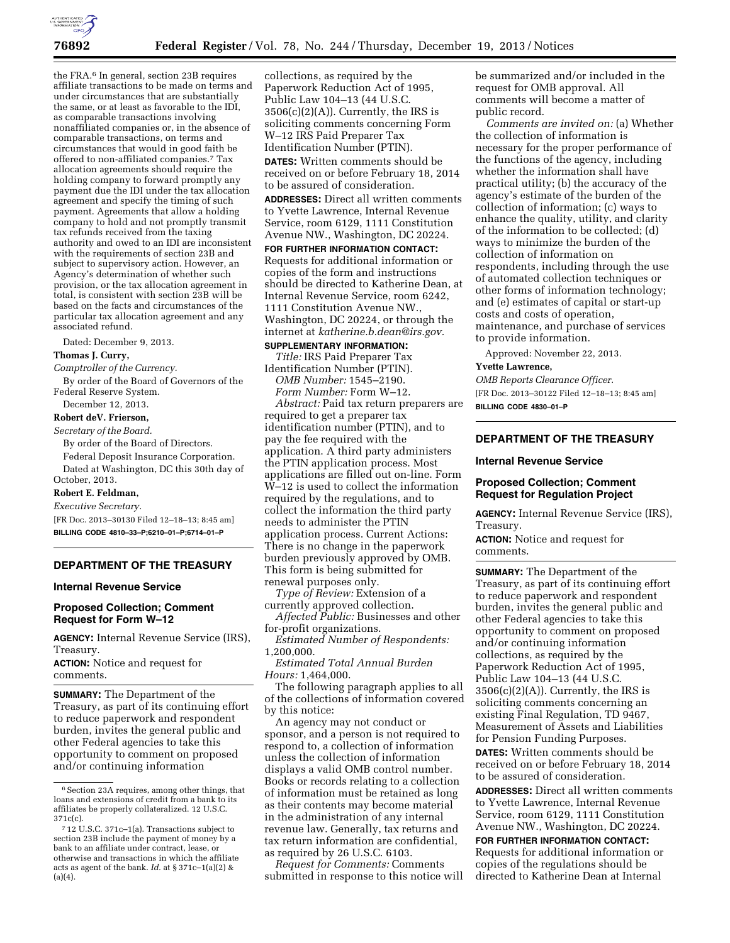

the FRA.6 In general, section 23B requires affiliate transactions to be made on terms and under circumstances that are substantially the same, or at least as favorable to the IDI, as comparable transactions involving nonaffiliated companies or, in the absence of comparable transactions, on terms and circumstances that would in good faith be offered to non-affiliated companies.7 Tax allocation agreements should require the holding company to forward promptly any payment due the IDI under the tax allocation agreement and specify the timing of such payment. Agreements that allow a holding company to hold and not promptly transmit tax refunds received from the taxing authority and owed to an IDI are inconsistent with the requirements of section 23B and subject to supervisory action. However, an Agency's determination of whether such provision, or the tax allocation agreement in total, is consistent with section 23B will be based on the facts and circumstances of the particular tax allocation agreement and any associated refund.

Dated: December 9, 2013.

#### **Thomas J. Curry,**

*Comptroller of the Currency.* 

By order of the Board of Governors of the Federal Reserve System.

December 12, 2013.

## **Robert deV. Frierson,**

*Secretary of the Board.* 

By order of the Board of Directors. Federal Deposit Insurance Corporation. Dated at Washington, DC this 30th day of October, 2013.

# **Robert E. Feldman,**

*Executive Secretary.* 

[FR Doc. 2013–30130 Filed 12–18–13; 8:45 am] **BILLING CODE 4810–33–P;6210–01–P;6714–01–P** 

# **DEPARTMENT OF THE TREASURY**

#### **Internal Revenue Service**

## **Proposed Collection; Comment Request for Form W–12**

**AGENCY:** Internal Revenue Service (IRS), Treasury.

**ACTION:** Notice and request for comments.

**SUMMARY:** The Department of the Treasury, as part of its continuing effort to reduce paperwork and respondent burden, invites the general public and other Federal agencies to take this opportunity to comment on proposed and/or continuing information

collections, as required by the Paperwork Reduction Act of 1995, Public Law 104–13 (44 U.S.C.  $3506(c)(2)(A)$ . Currently, the IRS is soliciting comments concerning Form W–12 IRS Paid Preparer Tax Identification Number (PTIN).

**DATES:** Written comments should be received on or before February 18, 2014 to be assured of consideration.

**ADDRESSES:** Direct all written comments to Yvette Lawrence, Internal Revenue Service, room 6129, 1111 Constitution Avenue NW., Washington, DC 20224.

**FOR FURTHER INFORMATION CONTACT:**  Requests for additional information or copies of the form and instructions should be directed to Katherine Dean, at Internal Revenue Service, room 6242, 1111 Constitution Avenue NW., Washington, DC 20224, or through the internet at *[katherine.b.dean@irs.gov.](mailto:katherine.b.dean@irs.gov)* 

## **SUPPLEMENTARY INFORMATION:**

*Title:* IRS Paid Preparer Tax Identification Number (PTIN). *OMB Number:* 1545–2190.

*Form Number:* Form W–12. *Abstract:* Paid tax return preparers are required to get a preparer tax identification number (PTIN), and to pay the fee required with the application. A third party administers the PTIN application process. Most applications are filled out on-line. Form W–12 is used to collect the information required by the regulations, and to collect the information the third party needs to administer the PTIN application process. Current Actions: There is no change in the paperwork burden previously approved by OMB. This form is being submitted for renewal purposes only.

*Type of Review:* Extension of a currently approved collection.

*Affected Public:* Businesses and other for-profit organizations.

*Estimated Number of Respondents:*  1,200,000.

*Estimated Total Annual Burden Hours:* 1,464,000.

The following paragraph applies to all of the collections of information covered by this notice:

An agency may not conduct or sponsor, and a person is not required to respond to, a collection of information unless the collection of information displays a valid OMB control number. Books or records relating to a collection of information must be retained as long as their contents may become material in the administration of any internal revenue law. Generally, tax returns and tax return information are confidential, as required by 26 U.S.C. 6103.

*Request for Comments:* Comments submitted in response to this notice will be summarized and/or included in the request for OMB approval. All comments will become a matter of public record.

*Comments are invited on:* (a) Whether the collection of information is necessary for the proper performance of the functions of the agency, including whether the information shall have practical utility; (b) the accuracy of the agency's estimate of the burden of the collection of information; (c) ways to enhance the quality, utility, and clarity of the information to be collected; (d) ways to minimize the burden of the collection of information on respondents, including through the use of automated collection techniques or other forms of information technology; and (e) estimates of capital or start-up costs and costs of operation, maintenance, and purchase of services to provide information.

Approved: November 22, 2013.

#### **Yvette Lawrence,**

*OMB Reports Clearance Officer.*  [FR Doc. 2013–30122 Filed 12–18–13; 8:45 am] **BILLING CODE 4830–01–P** 

## **DEPARTMENT OF THE TREASURY**

#### **Internal Revenue Service**

### **Proposed Collection; Comment Request for Regulation Project**

**AGENCY:** Internal Revenue Service (IRS), Treasury.

**ACTION:** Notice and request for comments.

**SUMMARY:** The Department of the Treasury, as part of its continuing effort to reduce paperwork and respondent burden, invites the general public and other Federal agencies to take this opportunity to comment on proposed and/or continuing information collections, as required by the Paperwork Reduction Act of 1995, Public Law 104–13 (44 U.S.C.  $3506(c)(2)(A)$ . Currently, the IRS is soliciting comments concerning an existing Final Regulation, TD 9467, Measurement of Assets and Liabilities for Pension Funding Purposes.

**DATES:** Written comments should be received on or before February 18, 2014 to be assured of consideration.

**ADDRESSES:** Direct all written comments to Yvette Lawrence, Internal Revenue Service, room 6129, 1111 Constitution Avenue NW., Washington, DC 20224.

**FOR FURTHER INFORMATION CONTACT:**  Requests for additional information or copies of the regulations should be directed to Katherine Dean at Internal

 $^{\rm 6}$  Section 23A requires, among other things, that loans and extensions of credit from a bank to its affiliates be properly collateralized. 12 U.S.C. 371c(c).

<sup>7</sup> 12 U.S.C. 371c–1(a). Transactions subject to section 23B include the payment of money by a bank to an affiliate under contract, lease, or otherwise and transactions in which the affiliate acts as agent of the bank. *Id.* at § 371c–1(a)(2) &  $(a)(4)$ .